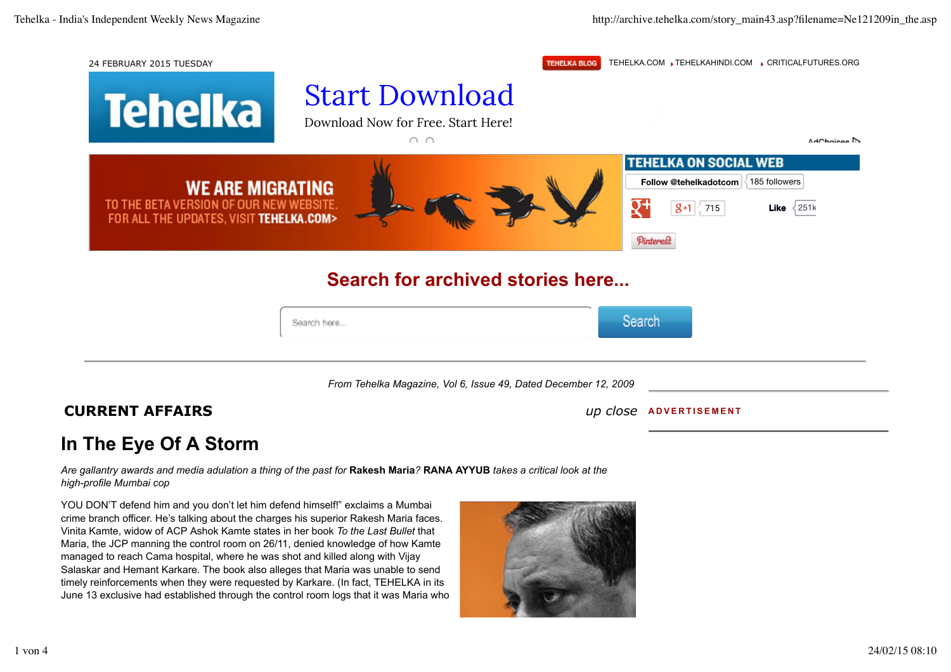

crime branch officer. He's talking about the charges his superior Rakesh Maria faces. Vinita Kamte, widow of ACP Ashok Kamte states in her book *To the Last Bullet* that Maria, the JCP manning the control room on 26/11, denied knowledge of how Kamte managed to reach Cama hospital, where he was shot and killed along with Vijay Salaskar and Hemant Karkare. The book also alleges that Maria was unable to send timely reinforcements when they were requested by Karkare. (In fact, TEHELKA in its June 13 exclusive had established through the control room logs that it was Maria who

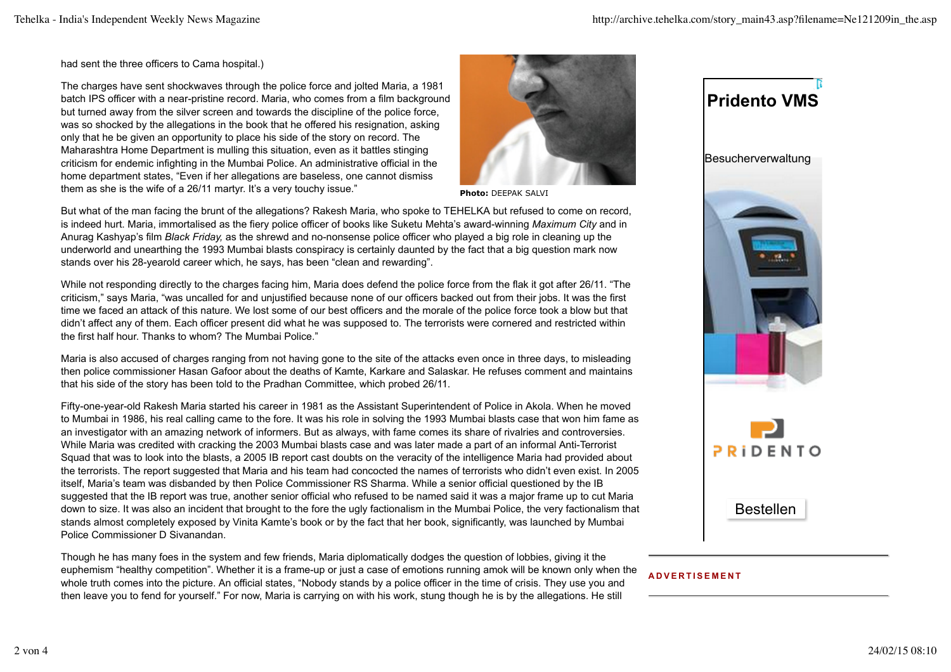had sent the three officers to Cama hospital.)

The charges have sent shockwaves through the police force and jolted Maria, a 1981 batch IPS officer with a near-pristine record. Maria, who comes from a film background but turned away from the silver screen and towards the discipline of the police force, was so shocked by the allegations in the book that he offered his resignation, asking only that he be given an opportunity to place his side of the story on record. The Maharashtra Home Department is mulling this situation, even as it battles stinging criticism for endemic infighting in the Mumbai Police. An administrative official in the home department states, "Even if her allegations are baseless, one cannot dismiss them as she is the wife of a 26/11 martyr. It's a very touchy issue."



**Photo:** DEEPAK SALVI

But what of the man facing the brunt of the allegations? Rakesh Maria, who spoke to TEHELKA but refused to come on record, is indeed hurt. Maria, immortalised as the fiery police officer of books like Suketu Mehta's award-winning *Maximum City* and in Anurag Kashyap's film *Black Friday,* as the shrewd and no-nonsense police officer who played a big role in cleaning up the underworld and unearthing the 1993 Mumbai blasts conspiracy is certainly daunted by the fact that a big question mark now stands over his 28-yearold career which, he says, has been "clean and rewarding".

While not responding directly to the charges facing him, Maria does defend the police force from the flak it got after 26/11. "The criticism," says Maria, "was uncalled for and unjustified because none of our officers backed out from their jobs. It was the first time we faced an attack of this nature. We lost some of our best officers and the morale of the police force took a blow but that didn't affect any of them. Each officer present did what he was supposed to. The terrorists were cornered and restricted within the first half hour. Thanks to whom? The Mumbai Police."

Maria is also accused of charges ranging from not having gone to the site of the attacks even once in three days, to misleading then police commissioner Hasan Gafoor about the deaths of Kamte, Karkare and Salaskar. He refuses comment and maintains that his side of the story has been told to the Pradhan Committee, which probed 26/11.

Fifty-one-year-old Rakesh Maria started his career in 1981 as the Assistant Superintendent of Police in Akola. When he moved to Mumbai in 1986, his real calling came to the fore. It was his role in solving the 1993 Mumbai blasts case that won him fame as an investigator with an amazing network of informers. But as always, with fame comes its share of rivalries and controversies. While Maria was credited with cracking the 2003 Mumbai blasts case and was later made a part of an informal Anti-Terrorist Squad that was to look into the blasts, a 2005 IB report cast doubts on the veracity of the intelligence Maria had provided about the terrorists. The report suggested that Maria and his team had concocted the names of terrorists who didn't even exist. In 2005 itself, Maria's team was disbanded by then Police Commissioner RS Sharma. While a senior official questioned by the IB suggested that the IB report was true, another senior official who refused to be named said it was a major frame up to cut Maria down to size. It was also an incident that brought to the fore the ugly factionalism in the Mumbai Police, the very factionalism that stands almost completely exposed by Vinita Kamte's book or by the fact that her book, significantly, was launched by Mumbai Police Commissioner D Sivanandan.

Though he has many foes in the system and few friends, Maria diplomatically dodges the question of lobbies, giving it the euphemism "healthy competition". Whether it is a frame-up or just a case of emotions running amok will be known only when the whole truth comes into the picture. An official states, "Nobody stands by a police officer in the time of crisis. They use you and then leave you to fend for yourself." For now, Maria is carrying on with his work, stung though he is by the allegations. He still

## **Pridento VMS**

**Besucherverwaltung** 



## **ADVERTISEMENT**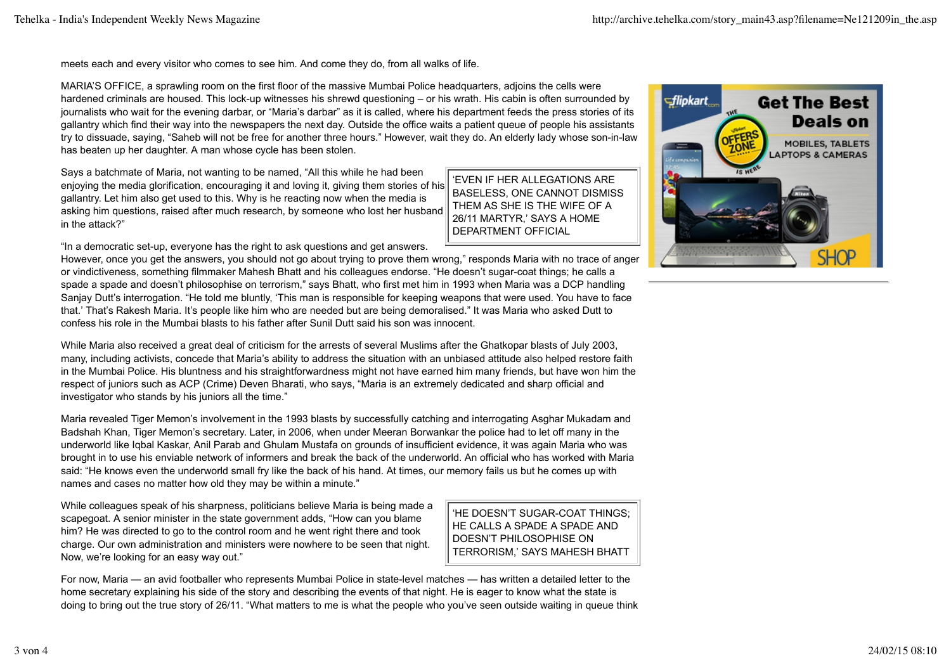meets each and every visitor who comes to see him. And come they do, from all walks of life.

MARIA'S OFFICE, a sprawling room on the first floor of the massive Mumbai Police headquarters, adjoins the cells were hardened criminals are housed. This lock-up witnesses his shrewd questioning – or his wrath. His cabin is often surrounded by journalists who wait for the evening darbar, or "Maria's darbar" as it is called, where his department feeds the press stories of its gallantry which find their way into the newspapers the next day. Outside the office waits a patient queue of people his assistants try to dissuade, saying, "Saheb will not be free for another three hours." However, wait they do. An elderly lady whose son-in-law has beaten up her daughter. A man whose cycle has been stolen.

Says a batchmate of Maria, not wanting to be named, "All this while he had been enjoying the media glorification, encouraging it and loving it, giving them stories of his gallantry. Let him also get used to this. Why is he reacting now when the media is asking him questions, raised after much research, by someone who lost her husband in the attack?"

"In a democratic set-up, everyone has the right to ask questions and get answers.

However, once you get the answers, you should not go about trying to prove them wrong," responds Maria with no trace of anger or vindictiveness, something filmmaker Mahesh Bhatt and his colleagues endorse. "He doesn't sugar-coat things; he calls a spade a spade and doesn't philosophise on terrorism," says Bhatt, who first met him in 1993 when Maria was a DCP handling Sanjay Dutt's interrogation. "He told me bluntly, 'This man is responsible for keeping weapons that were used. You have to face that.' That's Rakesh Maria. It's people like him who are needed but are being demoralised." It was Maria who asked Dutt to confess his role in the Mumbai blasts to his father after Sunil Dutt said his son was innocent.

While Maria also received a great deal of criticism for the arrests of several Muslims after the Ghatkopar blasts of July 2003, many, including activists, concede that Maria's ability to address the situation with an unbiased attitude also helped restore faith in the Mumbai Police. His bluntness and his straightforwardness might not have earned him many friends, but have won him the respect of juniors such as ACP (Crime) Deven Bharati, who says, "Maria is an extremely dedicated and sharp official and investigator who stands by his juniors all the time."

Maria revealed Tiger Memon's involvement in the 1993 blasts by successfully catching and interrogating Asghar Mukadam and Badshah Khan, Tiger Memon's secretary. Later, in 2006, when under Meeran Borwankar the police had to let off many in the underworld like Iqbal Kaskar, Anil Parab and Ghulam Mustafa on grounds of insufficient evidence, it was again Maria who was brought in to use his enviable network of informers and break the back of the underworld. An official who has worked with Maria said: "He knows even the underworld small fry like the back of his hand. At times, our memory fails us but he comes up with names and cases no matter how old they may be within a minute."

While colleagues speak of his sharpness, politicians believe Maria is being made a scapegoat. A senior minister in the state government adds, "How can you blame him? He was directed to go to the control room and he went right there and took charge. Our own administration and ministers were nowhere to be seen that night. Now, we're looking for an easy way out."

'HE DOESN'T SUGAR-COAT THINGS; HE CALLS A SPADE A SPADE AND DOESN'T PHILOSOPHISE ON TERRORISM,' SAYS MAHESH BHATT

'EVEN IF HER ALLEGATIONS ARE BASELESS, ONE CANNOT DISMISS THEM AS SHE IS THE WIFE OF A 26/11 MARTYR,' SAYS A HOME DEPARTMENT OFFICIAL

For now, Maria — an avid footballer who represents Mumbai Police in state-level matches — has written a detailed letter to the home secretary explaining his side of the story and describing the events of that night. He is eager to know what the state is doing to bring out the true story of 26/11. "What matters to me is what the people who you've seen outside waiting in queue think